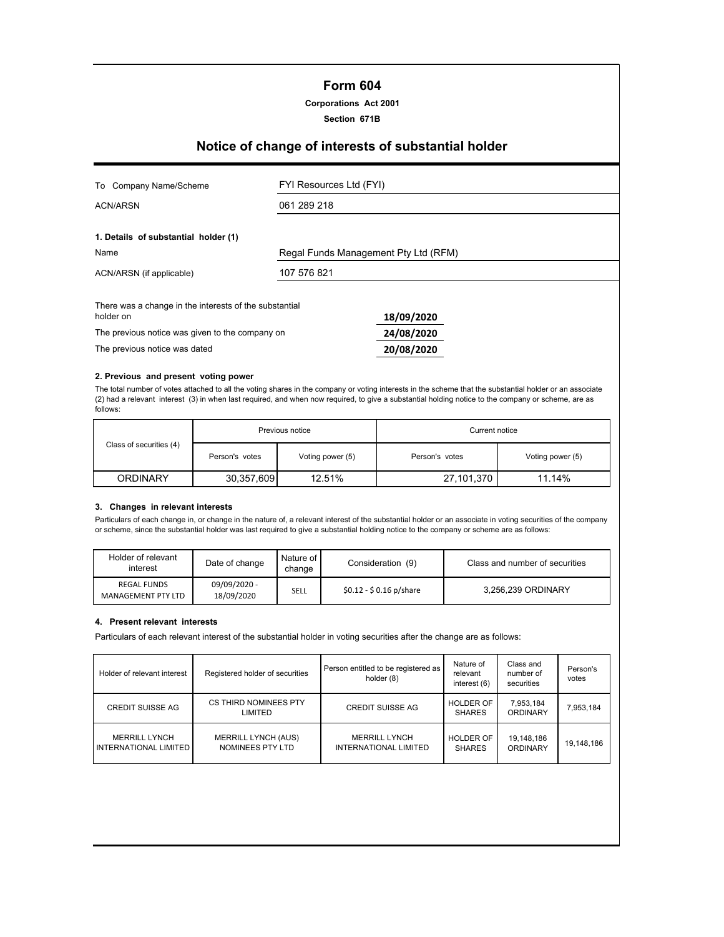# **Form 604**

### **Corporations Act 2001**

**Section 671B**

# **Notice of change of interests of substantial holder**

| Company Name/Scheme<br>To                                           | FYI Resources Ltd (FYI)              |            |  |
|---------------------------------------------------------------------|--------------------------------------|------------|--|
| ACN/ARSN                                                            | 061 289 218                          |            |  |
| 1. Details of substantial holder (1)                                |                                      |            |  |
| Name                                                                | Regal Funds Management Pty Ltd (RFM) |            |  |
| ACN/ARSN (if applicable)                                            | 107 576 821                          |            |  |
| There was a change in the interests of the substantial<br>holder on |                                      | 18/09/2020 |  |
| The previous notice was given to the company on                     |                                      | 24/08/2020 |  |
| The previous notice was dated                                       |                                      | 20/08/2020 |  |

#### **2. Previous and present voting power**

The total number of votes attached to all the voting shares in the company or voting interests in the scheme that the substantial holder or an associate (2) had a relevant interest (3) in when last required, and when now required, to give a substantial holding notice to the company or scheme, are as follows:

| Previous notice         |                | Current notice   |                |                  |
|-------------------------|----------------|------------------|----------------|------------------|
| Class of securities (4) | Person's votes | Voting power (5) | Person's votes | Voting power (5) |
| <b>ORDINARY</b>         | 30,357,609     | 12.51%           | 27,101,370     | 11.14%           |

## **3. Changes in relevant interests**

Particulars of each change in, or change in the nature of, a relevant interest of the substantial holder or an associate in voting securities of the company or scheme, since the substantial holder was last required to give a substantial holding notice to the company or scheme are as follows:

| Holder of relevant<br>interest           | Date of change             | Nature of I<br>change | Consideration (9)                | Class and number of securities |
|------------------------------------------|----------------------------|-----------------------|----------------------------------|--------------------------------|
| <b>REGAL FUNDS</b><br>MANAGEMENT PTY LTD | 09/09/2020 -<br>18/09/2020 | SELL                  | $$0.12 - $0.16 \text{ p/s}$ hare | 3,256,239 ORDINARY             |

#### **4. Present relevant interests**

Particulars of each relevant interest of the substantial holder in voting securities after the change are as follows:

| Holder of relevant interest                   | Registered holder of securities                | Person entitled to be registered as<br>holder (8) | Nature of<br>relevant<br>interest (6) | Class and<br>number of<br>securities | Person's<br>votes |
|-----------------------------------------------|------------------------------------------------|---------------------------------------------------|---------------------------------------|--------------------------------------|-------------------|
| <b>CREDIT SUISSE AG</b>                       | CS THIRD NOMINEES PTY<br>LIMITED               | <b>CREDIT SUISSE AG</b>                           | <b>HOLDER OF</b><br><b>SHARES</b>     | 7,953,184<br>ORDINARY                | 7,953,184         |
| <b>MERRILL LYNCH</b><br>INTERNATIONAL LIMITED | <b>MERRILL LYNCH (AUS)</b><br>NOMINEES PTY LTD | <b>MERRILL LYNCH</b><br>INTERNATIONAL LIMITED     | <b>HOLDER OF</b><br><b>SHARES</b>     | 19,148,186<br>ORDINARY               | 19,148,186        |